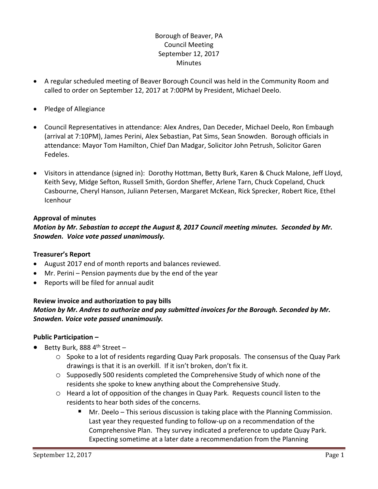# Borough of Beaver, PA Council Meeting September 12, 2017 **Minutes**

- A regular scheduled meeting of Beaver Borough Council was held in the Community Room and called to order on September 12, 2017 at 7:00PM by President, Michael Deelo.
- Pledge of Allegiance
- Council Representatives in attendance: Alex Andres, Dan Deceder, Michael Deelo, Ron Embaugh (arrival at 7:10PM), James Perini, Alex Sebastian, Pat Sims, Sean Snowden. Borough officials in attendance: Mayor Tom Hamilton, Chief Dan Madgar, Solicitor John Petrush, Solicitor Garen Fedeles.
- Visitors in attendance (signed in): Dorothy Hottman, Betty Burk, Karen & Chuck Malone, Jeff Lloyd, Keith Sevy, Midge Sefton, Russell Smith, Gordon Sheffer, Arlene Tarn, Chuck Copeland, Chuck Casbourne, Cheryl Hanson, Juliann Petersen, Margaret McKean, Rick Sprecker, Robert Rice, Ethel Icenhour

# **Approval of minutes**

# *Motion by Mr. Sebastian to accept the August 8, 2017 Council meeting minutes. Seconded by Mr. Snowden. Voice vote passed unanimously.*

#### **Treasurer's Report**

- August 2017 end of month reports and balances reviewed.
- Mr. Perini Pension payments due by the end of the year
- Reports will be filed for annual audit

# **Review invoice and authorization to pay bills** *Motion by Mr. Andres to authorize and pay submitted invoices for the Borough. Seconded by Mr. Snowden. Voice vote passed unanimously.*

# **Public Participation –**

- Betty Burk, 888  $4<sup>th</sup>$  Street
	- o Spoke to a lot of residents regarding Quay Park proposals. The consensus of the Quay Park drawings is that it is an overkill. If it isn't broken, don't fix it.
	- o Supposedly 500 residents completed the Comprehensive Study of which none of the residents she spoke to knew anything about the Comprehensive Study.
	- o Heard a lot of opposition of the changes in Quay Park. Requests council listen to the residents to hear both sides of the concerns.
		- Mr. Deelo This serious discussion is taking place with the Planning Commission. Last year they requested funding to follow-up on a recommendation of the Comprehensive Plan. They survey indicated a preference to update Quay Park. Expecting sometime at a later date a recommendation from the Planning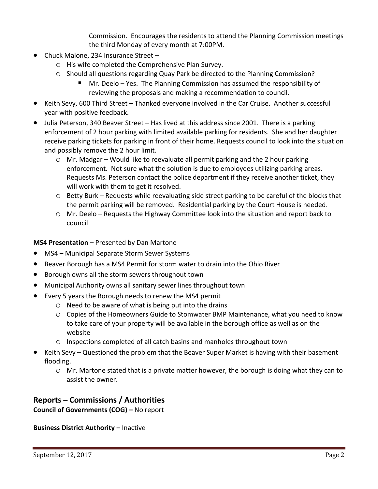Commission. Encourages the residents to attend the Planning Commission meetings the third Monday of every month at 7:00PM.

- Chuck Malone, 234 Insurance Street
	- o His wife completed the Comprehensive Plan Survey.
	- o Should all questions regarding Quay Park be directed to the Planning Commission?
		- Mr. Deelo Yes. The Planning Commission has assumed the responsibility of reviewing the proposals and making a recommendation to council.
- Keith Sevy, 600 Third Street Thanked everyone involved in the Car Cruise. Another successful year with positive feedback.
- Julia Peterson, 340 Beaver Street Has lived at this address since 2001. There is a parking enforcement of 2 hour parking with limited available parking for residents. She and her daughter receive parking tickets for parking in front of their home. Requests council to look into the situation and possibly remove the 2 hour limit.
	- o Mr. Madgar Would like to reevaluate all permit parking and the 2 hour parking enforcement. Not sure what the solution is due to employees utilizing parking areas. Requests Ms. Peterson contact the police department if they receive another ticket, they will work with them to get it resolved.
	- $\circ$  Betty Burk Requests while reevaluating side street parking to be careful of the blocks that the permit parking will be removed. Residential parking by the Court House is needed.
	- o Mr. Deelo Requests the Highway Committee look into the situation and report back to council

**MS4 Presentation –** Presented by Dan Martone

- MS4 Municipal Separate Storm Sewer Systems
- Beaver Borough has a MS4 Permit for storm water to drain into the Ohio River
- **•** Borough owns all the storm sewers throughout town
- Municipal Authority owns all sanitary sewer lines throughout town
- Every 5 years the Borough needs to renew the MS4 permit
	- o Need to be aware of what is being put into the drains
	- o Copies of the Homeowners Guide to Stomwater BMP Maintenance, what you need to know to take care of your property will be available in the borough office as well as on the website
	- o Inspections completed of all catch basins and manholes throughout town
- Keith Sevy Questioned the problem that the Beaver Super Market is having with their basement flooding.
	- $\circ$  Mr. Martone stated that is a private matter however, the borough is doing what they can to assist the owner.

# **Reports – Commissions / Authorities**

**Council of Governments (COG) –** No report

**Business District Authority - Inactive**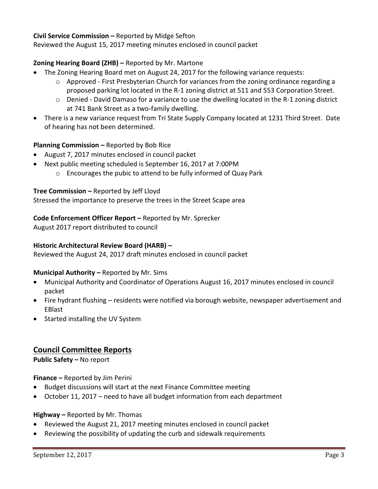## **Civil Service Commission –** Reported by Midge Sefton

Reviewed the August 15, 2017 meeting minutes enclosed in council packet

## **Zoning Hearing Board (ZHB) –** Reported by Mr. Martone

- The Zoning Hearing Board met on August 24, 2017 for the following variance requests:
	- o Approved First Presbyterian Church for variances from the zoning ordinance regarding a proposed parking lot located in the R-1 zoning district at 511 and 553 Corporation Street.
	- $\circ$  Denied David Damaso for a variance to use the dwelling located in the R-1 zoning district at 741 Bank Street as a two-family dwelling.
- There is a new variance request from Tri State Supply Company located at 1231 Third Street. Date of hearing has not been determined.

#### **Planning Commission –** Reported by Bob Rice

- August 7, 2017 minutes enclosed in council packet
- Next public meeting scheduled is September 16, 2017 at 7:00PM
	- o Encourages the pubic to attend to be fully informed of Quay Park

#### **Tree Commission –** Reported by Jeff Lloyd

Stressed the importance to preserve the trees in the Street Scape area

#### **Code Enforcement Officer Report –** Reported by Mr. Sprecker

August 2017 report distributed to council

#### **Historic Architectural Review Board (HARB) –**

Reviewed the August 24, 2017 draft minutes enclosed in council packet

#### **Municipal Authority –** Reported by Mr. Sims

- Municipal Authority and Coordinator of Operations August 16, 2017 minutes enclosed in council packet
- Fire hydrant flushing residents were notified via borough website, newspaper advertisement and EBlast
- Started installing the UV System

# **Council Committee Reports**

**Public Safety –** No report

**Finance –** Reported by Jim Perini

- Budget discussions will start at the next Finance Committee meeting
- October 11, 2017 need to have all budget information from each department

#### **Highway –** Reported by Mr. Thomas

- Reviewed the August 21, 2017 meeting minutes enclosed in council packet
- Reviewing the possibility of updating the curb and sidewalk requirements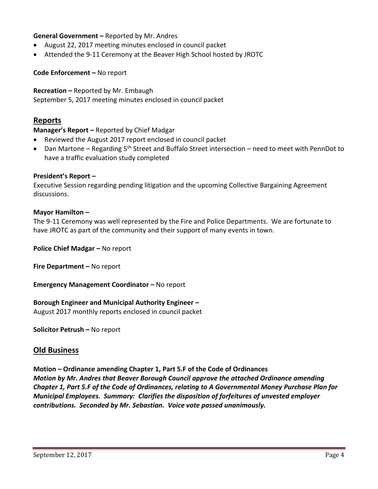## **General Government –** Reported by Mr. Andres

- August 22, 2017 meeting minutes enclosed in council packet
- Attended the 9-11 Ceremony at the Beaver High School hosted by JROTC

#### **Code Enforcement –** No report

**Recreation –** Reported by Mr. Embaugh September 5, 2017 meeting minutes enclosed in council packet

# **Reports**

**Manager's Report –** Reported by Chief Madgar

- Reviewed the August 2017 report enclosed in council packet
- Dan Martone Regarding 5<sup>th</sup> Street and Buffalo Street intersection need to meet with PennDot to have a traffic evaluation study completed

#### **President's Report –**

Executive Session regarding pending litigation and the upcoming Collective Bargaining Agreement discussions.

#### **Mayor Hamilton –**

The 9-11 Ceremony was well represented by the Fire and Police Departments. We are fortunate to have JROTC as part of the community and their support of many events in town.

**Police Chief Madgar – No report** 

**Fire Department –** No report

**Emergency Management Coordinator - No report** 

#### **Borough Engineer and Municipal Authority Engineer –**

August 2017 monthly reports enclosed in council packet

**Solicitor Petrush –** No report

# **Old Business**

**Motion – Ordinance amending Chapter 1, Part 5.F of the Code of Ordinances** *Motion by Mr. Andres that Beaver Borough Council approve the attached Ordinance amending Chapter 1, Part 5.F of the Code of Ordinances, relating to A Governmental Money Purchase Plan for Municipal Employees. Summary: Clarifies the disposition of forfeitures of unvested employer contributions. Seconded by Mr. Sebastian. Voice vote passed unanimously.*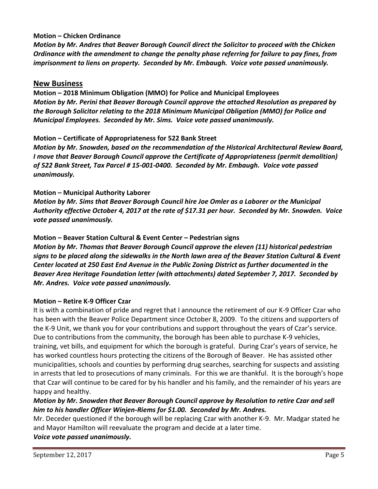## **Motion – Chicken Ordinance**

*Motion by Mr. Andres that Beaver Borough Council direct the Solicitor to proceed with the Chicken Ordinance with the amendment to change the penalty phase referring for failure to pay fines, from imprisonment to liens on property. Seconded by Mr. Embaugh. Voice vote passed unanimously.*

## **New Business**

**Motion – 2018 Minimum Obligation (MMO) for Police and Municipal Employees** *Motion by Mr. Perini that Beaver Borough Council approve the attached Resolution as prepared by the Borough Solicitor relating to the 2018 Minimum Municipal Obligation (MMO) for Police and Municipal Employees. Seconded by Mr. Sims. Voice vote passed unanimously.*

## **Motion – Certificate of Appropriateness for 522 Bank Street**

*Motion by Mr. Snowden, based on the recommendation of the Historical Architectural Review Board, I move that Beaver Borough Council approve the Certificate of Appropriateness (permit demolition) of 522 Bank Street, Tax Parcel # 15-001-0400. Seconded by Mr. Embaugh. Voice vote passed unanimously.*

## **Motion – Municipal Authority Laborer**

*Motion by Mr. Sims that Beaver Borough Council hire Joe Omler as a Laborer or the Municipal Authority effective October 4, 2017 at the rate of \$17.31 per hour. Seconded by Mr. Snowden. Voice vote passed unanimously.*

## **Motion – Beaver Station Cultural & Event Center – Pedestrian signs**

*Motion by Mr. Thomas that Beaver Borough Council approve the eleven (11) historical pedestrian signs to be placed along the sidewalks in the North lawn area of the Beaver Station Cultural & Event Center located at 250 East End Avenue in the Public Zoning District as further documented in the Beaver Area Heritage Foundation letter (with attachments) dated September 7, 2017. Seconded by Mr. Andres. Voice vote passed unanimously.*

#### **Motion – Retire K-9 Officer Czar**

It is with a combination of pride and regret that I announce the retirement of our K-9 Officer Czar who has been with the Beaver Police Department since October 8, 2009. To the citizens and supporters of the K-9 Unit, we thank you for your contributions and support throughout the years of Czar's service. Due to contributions from the community, the borough has been able to purchase K-9 vehicles, training, vet bills, and equipment for which the borough is grateful. During Czar's years of service, he has worked countless hours protecting the citizens of the Borough of Beaver. He has assisted other municipalities, schools and counties by performing drug searches, searching for suspects and assisting in arrests that led to prosecutions of many criminals. For this we are thankful. It is the borough's hope that Czar will continue to be cared for by his handler and his family, and the remainder of his years are happy and healthy.

# *Motion by Mr. Snowden that Beaver Borough Council approve by Resolution to retire Czar and sell him to his handler Officer Winjen-Riems for \$1.00. Seconded by Mr. Andres.*

Mr. Deceder questioned if the borough will be replacing Czar with another K-9. Mr. Madgar stated he and Mayor Hamilton will reevaluate the program and decide at a later time. *Voice vote passed unanimously.*